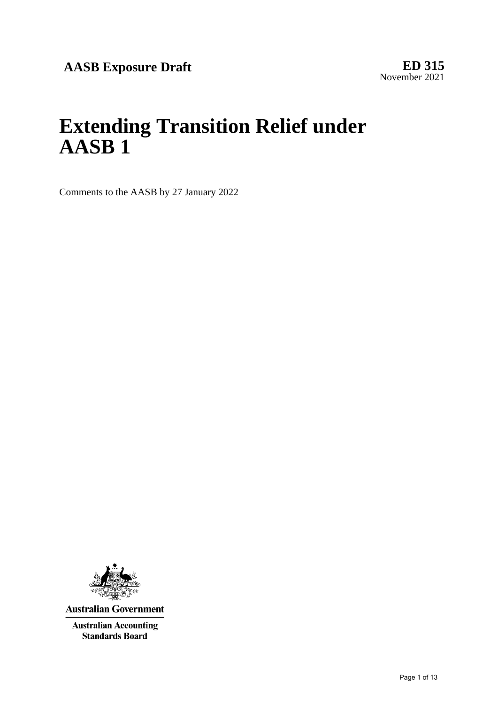# **Extending Transition Relief under AASB 1**

Comments to the AASB by 27 January 2022



**Australian Government** 

**Australian Accounting Standards Board**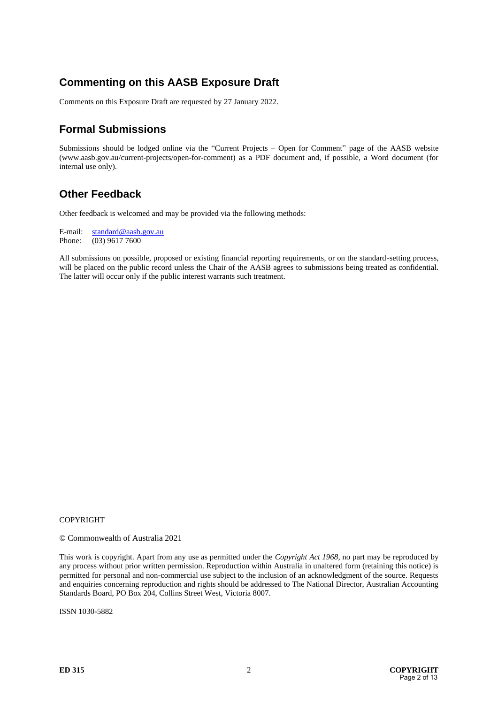# **Commenting on this AASB Exposure Draft**

Comments on this Exposure Draft are requested by 27 January 2022.

# **Formal Submissions**

Submissions should be lodged online via the "Current Projects – Open for Comment" page of the AASB website (www.aasb.gov.au/current-projects/open-for-comment) as a PDF document and, if possible, a Word document (for internal use only).

# **Other Feedback**

Other feedback is welcomed and may be provided via the following methods:

E-mail:  $\frac{\text{standard} @ \text{aasb.gov.au}}{\text{Phone:}}$ (03) 9617 7600

All submissions on possible, proposed or existing financial reporting requirements, or on the standard-setting process, will be placed on the public record unless the Chair of the AASB agrees to submissions being treated as confidential. The latter will occur only if the public interest warrants such treatment.

#### **COPYRIGHT**

© Commonwealth of Australia 2021

This work is copyright. Apart from any use as permitted under the *Copyright Act 1968*, no part may be reproduced by any process without prior written permission. Reproduction within Australia in unaltered form (retaining this notice) is permitted for personal and non-commercial use subject to the inclusion of an acknowledgment of the source. Requests and enquiries concerning reproduction and rights should be addressed to The National Director, Australian Accounting Standards Board, PO Box 204, Collins Street West, Victoria 8007.

ISSN 1030-5882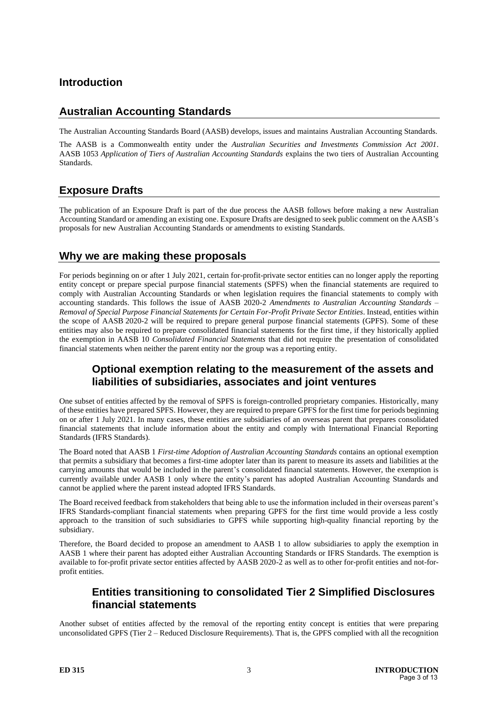# **Introduction**

# **Australian Accounting Standards**

The Australian Accounting Standards Board (AASB) develops, issues and maintains Australian Accounting Standards.

The AASB is a Commonwealth entity under the *Australian Securities and Investments Commission Act 2001*. AASB 1053 *Application of Tiers of Australian Accounting Standards* explains the two tiers of Australian Accounting Standards.

# **Exposure Drafts**

The publication of an Exposure Draft is part of the due process the AASB follows before making a new Australian Accounting Standard or amending an existing one. Exposure Drafts are designed to seek public comment on the AASB's proposals for new Australian Accounting Standards or amendments to existing Standards.

#### **Why we are making these proposals**

For periods beginning on or after 1 July 2021, certain for-profit-private sector entities can no longer apply the reporting entity concept or prepare special purpose financial statements (SPFS) when the financial statements are required to comply with Australian Accounting Standards or when legislation requires the financial statements to comply with accounting standards. This follows the issue of AASB 2020-2 *Amendments to Australian Accounting Standards – Removal of Special Purpose Financial Statements for Certain For-Profit Private Sector Entities*. Instead, entities within the scope of AASB 2020-2 will be required to prepare general purpose financial statements (GPFS). Some of these entities may also be required to prepare consolidated financial statements for the first time, if they historically applied the exemption in AASB 10 *Consolidated Financial Statements* that did not require the presentation of consolidated financial statements when neither the parent entity nor the group was a reporting entity.

# **Optional exemption relating to the measurement of the assets and liabilities of subsidiaries, associates and joint ventures**

One subset of entities affected by the removal of SPFS is foreign-controlled proprietary companies. Historically, many of these entities have prepared SPFS. However, they are required to prepare GPFS for the first time for periods beginning on or after 1 July 2021. In many cases, these entities are subsidiaries of an overseas parent that prepares consolidated financial statements that include information about the entity and comply with International Financial Reporting Standards (IFRS Standards).

The Board noted that AASB 1 *First-time Adoption of Australian Accounting Standards* contains an optional exemption that permits a subsidiary that becomes a first-time adopter later than its parent to measure its assets and liabilities at the carrying amounts that would be included in the parent's consolidated financial statements. However, the exemption is currently available under AASB 1 only where the entity's parent has adopted Australian Accounting Standards and cannot be applied where the parent instead adopted IFRS Standards.

The Board received feedback from stakeholders that being able to use the information included in their overseas parent's IFRS Standards-compliant financial statements when preparing GPFS for the first time would provide a less costly approach to the transition of such subsidiaries to GPFS while supporting high-quality financial reporting by the subsidiary.

Therefore, the Board decided to propose an amendment to AASB 1 to allow subsidiaries to apply the exemption in AASB 1 where their parent has adopted either Australian Accounting Standards or IFRS Standards. The exemption is available to for-profit private sector entities affected by AASB 2020-2 as well as to other for-profit entities and not-forprofit entities.

## **Entities transitioning to consolidated Tier 2 Simplified Disclosures financial statements**

Another subset of entities affected by the removal of the reporting entity concept is entities that were preparing unconsolidated GPFS (Tier 2 – Reduced Disclosure Requirements). That is, the GPFS complied with all the recognition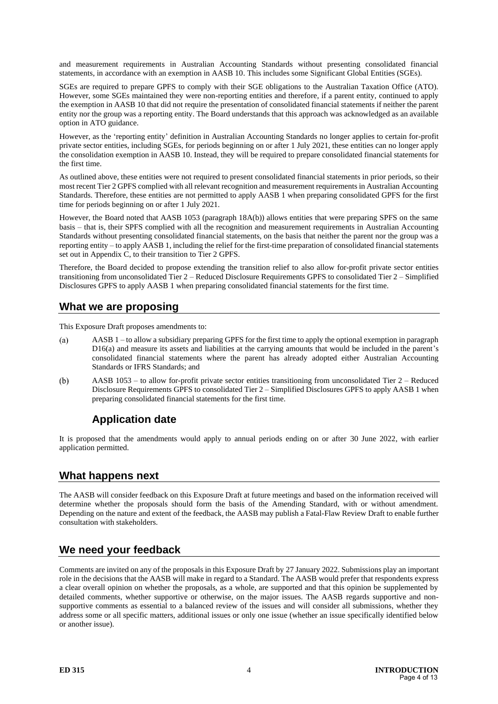and measurement requirements in Australian Accounting Standards without presenting consolidated financial statements, in accordance with an exemption in AASB 10. This includes some Significant Global Entities (SGEs).

SGEs are required to prepare GPFS to comply with their SGE obligations to the Australian Taxation Office (ATO). However, some SGEs maintained they were non-reporting entities and therefore, if a parent entity, continued to apply the exemption in AASB 10 that did not require the presentation of consolidated financial statements if neither the parent entity nor the group was a reporting entity. The Board understands that this approach was acknowledged as an available option in ATO guidance.

However, as the 'reporting entity' definition in Australian Accounting Standards no longer applies to certain for-profit private sector entities, including SGEs, for periods beginning on or after 1 July 2021, these entities can no longer apply the consolidation exemption in AASB 10. Instead, they will be required to prepare consolidated financial statements for the first time.

As outlined above, these entities were not required to present consolidated financial statements in prior periods, so their most recent Tier 2 GPFS complied with all relevant recognition and measurement requirements in Australian Accounting Standards. Therefore, these entities are not permitted to apply AASB 1 when preparing consolidated GPFS for the first time for periods beginning on or after 1 July 2021.

However, the Board noted that AASB 1053 (paragraph 18A(b)) allows entities that were preparing SPFS on the same basis – that is, their SPFS complied with all the recognition and measurement requirements in Australian Accounting Standards without presenting consolidated financial statements, on the basis that neither the parent nor the group was a reporting entity – to apply AASB 1, including the relief for the first-time preparation of consolidated financial statements set out in Appendix C, to their transition to Tier 2 GPFS.

Therefore, the Board decided to propose extending the transition relief to also allow for-profit private sector entities transitioning from unconsolidated Tier 2 – Reduced Disclosure Requirements GPFS to consolidated Tier 2 – Simplified Disclosures GPFS to apply AASB 1 when preparing consolidated financial statements for the first time.

#### **What we are proposing**

This Exposure Draft proposes amendments to:

- (a) AASB 1 – to allow a subsidiary preparing GPFS for the first time to apply the optional exemption in paragraph D16(a) and measure its assets and liabilities at the carrying amounts that would be included in the parent's consolidated financial statements where the parent has already adopted either Australian Accounting Standards or IFRS Standards; and
- $(b)$ AASB 1053 – to allow for-profit private sector entities transitioning from unconsolidated Tier 2 – Reduced Disclosure Requirements GPFS to consolidated Tier 2 – Simplified Disclosures GPFS to apply AASB 1 when preparing consolidated financial statements for the first time.

# **Application date**

It is proposed that the amendments would apply to annual periods ending on or after 30 June 2022, with earlier application permitted.

#### **What happens next**

The AASB will consider feedback on this Exposure Draft at future meetings and based on the information received will determine whether the proposals should form the basis of the Amending Standard, with or without amendment. Depending on the nature and extent of the feedback, the AASB may publish a Fatal-Flaw Review Draft to enable further consultation with stakeholders.

## **We need your feedback**

Comments are invited on any of the proposals in this Exposure Draft by 27 January 2022. Submissions play an important role in the decisions that the AASB will make in regard to a Standard. The AASB would prefer that respondents express a clear overall opinion on whether the proposals, as a whole, are supported and that this opinion be supplemented by detailed comments, whether supportive or otherwise, on the major issues. The AASB regards supportive and nonsupportive comments as essential to a balanced review of the issues and will consider all submissions, whether they address some or all specific matters, additional issues or only one issue (whether an issue specifically identified below or another issue).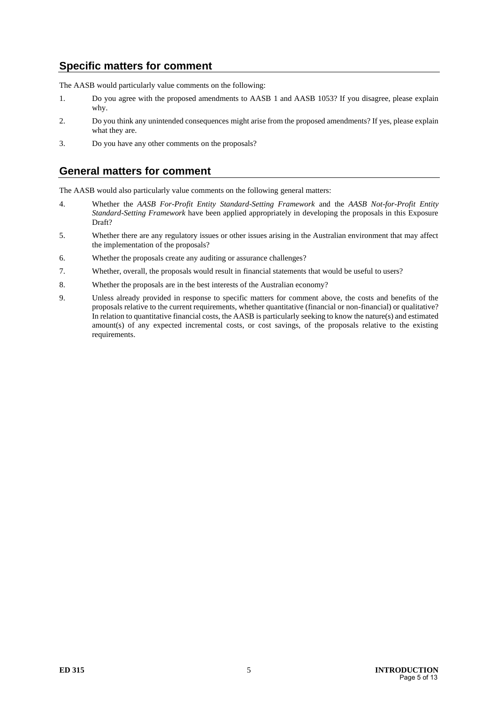# **Specific matters for comment**

The AASB would particularly value comments on the following:

- 1. Do you agree with the proposed amendments to AASB 1 and AASB 1053? If you disagree, please explain why.
- 2. Do you think any unintended consequences might arise from the proposed amendments? If yes, please explain what they are.
- 3. Do you have any other comments on the proposals?

## **General matters for comment**

The AASB would also particularly value comments on the following general matters:

- 4. Whether the *AASB For-Profit Entity Standard-Setting Framework* and the *AASB Not-for-Profit Entity Standard-Setting Framework* have been applied appropriately in developing the proposals in this Exposure Draft?
- 5. Whether there are any regulatory issues or other issues arising in the Australian environment that may affect the implementation of the proposals?
- 6. Whether the proposals create any auditing or assurance challenges?
- 7. Whether, overall, the proposals would result in financial statements that would be useful to users?
- 8. Whether the proposals are in the best interests of the Australian economy?
- 9. Unless already provided in response to specific matters for comment above, the costs and benefits of the proposals relative to the current requirements, whether quantitative (financial or non-financial) or qualitative? In relation to quantitative financial costs, the AASB is particularly seeking to know the nature(s) and estimated amount(s) of any expected incremental costs, or cost savings, of the proposals relative to the existing requirements.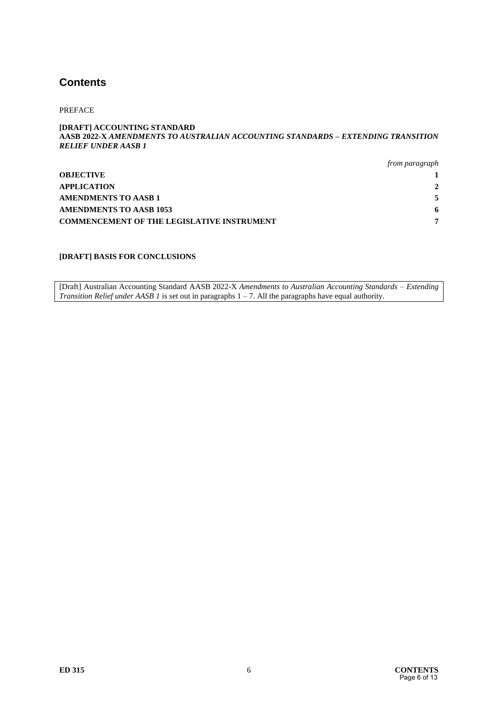# **Contents**

PREFACE

#### **[DRAFT] ACCOUNTING STANDARD AASB 2022-X** *AMENDMENTS TO AUSTRALIAN ACCOUNTING STANDARDS – EXTENDING TRANSITION RELIEF UNDER AASB 1*

|                                                   | from paragraph |
|---------------------------------------------------|----------------|
| <b>OBJECTIVE</b>                                  |                |
| <b>APPLICATION</b>                                | $2^{\circ}$    |
| AMENDMENTS TO AASB 1                              |                |
| <b>AMENDMENTS TO AASB 1053</b>                    | -6             |
| <b>COMMENCEMENT OF THE LEGISLATIVE INSTRUMENT</b> | ៗ              |

#### **[DRAFT] BASIS FOR CONCLUSIONS**

[Draft] Australian Accounting Standard AASB 2022-X *Amendments to Australian Accounting Standards – Extending Transition Relief under AASB 1* is set out in paragraphs 1 – 7. All the paragraphs have equal authority.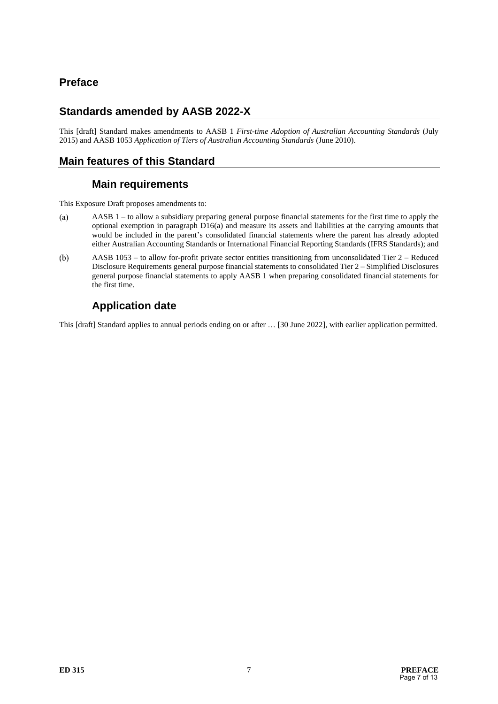# **Preface**

# **Standards amended by AASB 2022-X**

This [draft] Standard makes amendments to AASB 1 *First-time Adoption of Australian Accounting Standards* (July 2015) and AASB 1053 *Application of Tiers of Australian Accounting Standards* (June 2010).

# **Main features of this Standard**

#### **Main requirements**

This Exposure Draft proposes amendments to:

- AASB 1 to allow a subsidiary preparing general purpose financial statements for the first time to apply the  $(a)$ optional exemption in paragraph D16(a) and measure its assets and liabilities at the carrying amounts that would be included in the parent's consolidated financial statements where the parent has already adopted either Australian Accounting Standards or International Financial Reporting Standards (IFRS Standards); and
- $(b)$ AASB 1053 – to allow for-profit private sector entities transitioning from unconsolidated Tier 2 – Reduced Disclosure Requirements general purpose financial statements to consolidated Tier 2 – Simplified Disclosures general purpose financial statements to apply AASB 1 when preparing consolidated financial statements for the first time.

# **Application date**

This [draft] Standard applies to annual periods ending on or after … [30 June 2022], with earlier application permitted.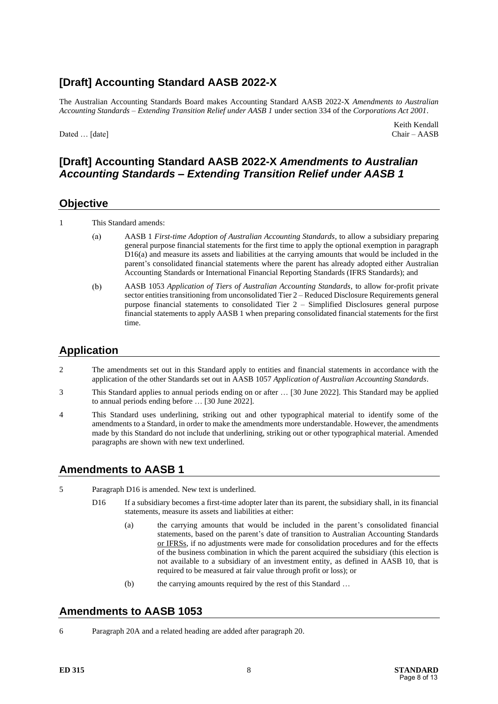# **[Draft] Accounting Standard AASB 2022-X**

The Australian Accounting Standards Board makes Accounting Standard AASB 2022-X *Amendments to Australian Accounting Standards – Extending Transition Relief under AASB 1* under section 334 of the *Corporations Act 2001*.

Dated … [date] Chair – AASB

Keith Kendall

## **[Draft] Accounting Standard AASB 2022-X** *Amendments to Australian Accounting Standards – Extending Transition Relief under AASB 1*

#### **Objective**

1 This Standard amends:

- $(a)$ AASB 1 *First-time Adoption of Australian Accounting Standards*, to allow a subsidiary preparing general purpose financial statements for the first time to apply the optional exemption in paragraph D16(a) and measure its assets and liabilities at the carrying amounts that would be included in the parent's consolidated financial statements where the parent has already adopted either Australian Accounting Standards or International Financial Reporting Standards (IFRS Standards); and
- $(b)$ AASB 1053 *Application of Tiers of Australian Accounting Standards*, to allow for-profit private sector entities transitioning from unconsolidated Tier 2 – Reduced Disclosure Requirements general purpose financial statements to consolidated Tier 2 – Simplified Disclosures general purpose financial statements to apply AASB 1 when preparing consolidated financial statements for the first time.

# **Application**

- 2 The amendments set out in this Standard apply to entities and financial statements in accordance with the application of the other Standards set out in AASB 1057 *Application of Australian Accounting Standards*.
- 3 This Standard applies to annual periods ending on or after … [30 June 2022]. This Standard may be applied to annual periods ending before … [30 June 2022].
- 4 This Standard uses underlining, striking out and other typographical material to identify some of the amendments to a Standard, in order to make the amendments more understandable. However, the amendments made by this Standard do not include that underlining, striking out or other typographical material. Amended paragraphs are shown with new text underlined.

## **Amendments to AASB 1**

- 5 Paragraph D16 is amended. New text is underlined.
	- D16 If a subsidiary becomes a first-time adopter later than its parent, the subsidiary shall, in its financial statements, measure its assets and liabilities at either:
		- (a) the carrying amounts that would be included in the parent's consolidated financial statements, based on the parent's date of transition to Australian Accounting Standards or IFRSs, if no adjustments were made for consolidation procedures and for the effects of the business combination in which the parent acquired the subsidiary (this election is not available to a subsidiary of an investment entity, as defined in AASB 10, that is required to be measured at fair value through profit or loss); or
		- (b) the carrying amounts required by the rest of this Standard …

## **Amendments to AASB 1053**

6 Paragraph 20A and a related heading are added after paragraph 20.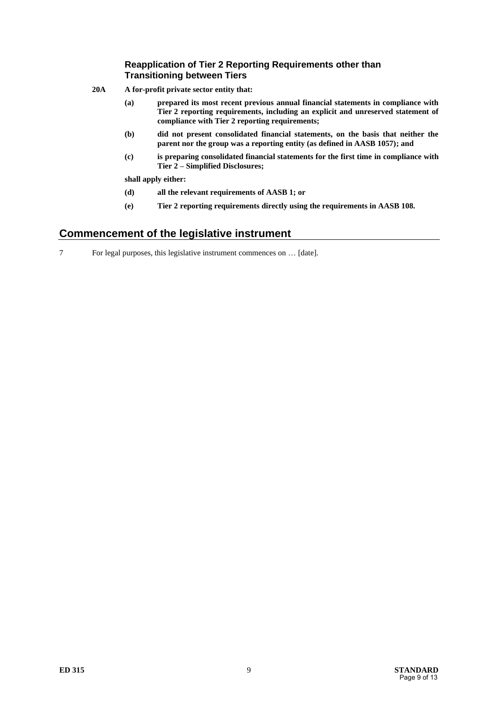#### **Reapplication of Tier 2 Reporting Requirements other than Transitioning between Tiers**

- **20A A for-profit private sector entity that:**
	- **(a) prepared its most recent previous annual financial statements in compliance with Tier 2 reporting requirements, including an explicit and unreserved statement of compliance with Tier 2 reporting requirements;**
	- **(b) did not present consolidated financial statements, on the basis that neither the parent nor the group was a reporting entity (as defined in AASB 1057); and**
	- **(c) is preparing consolidated financial statements for the first time in compliance with Tier 2 – Simplified Disclosures;**

**shall apply either:** 

- **(d) all the relevant requirements of AASB 1; or**
- **(e) Tier 2 reporting requirements directly using the requirements in AASB 108.**

#### **Commencement of the legislative instrument**

7 For legal purposes, this legislative instrument commences on … [date].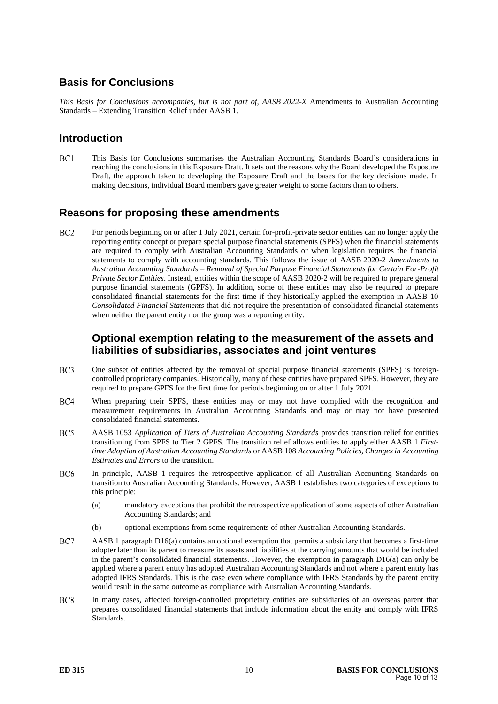# **Basis for Conclusions**

*This Basis for Conclusions accompanies, but is not part of, AASB 2022-X* Amendments to Australian Accounting Standards – Extending Transition Relief under AASB 1.

## **Introduction**

 $BC1$ This Basis for Conclusions summarises the Australian Accounting Standards Board's considerations in reaching the conclusions in this Exposure Draft. It sets out the reasons why the Board developed the Exposure Draft, the approach taken to developing the Exposure Draft and the bases for the key decisions made. In making decisions, individual Board members gave greater weight to some factors than to others.

#### **Reasons for proposing these amendments**

BC<sub>2</sub> For periods beginning on or after 1 July 2021, certain for-profit-private sector entities can no longer apply the reporting entity concept or prepare special purpose financial statements (SPFS) when the financial statements are required to comply with Australian Accounting Standards or when legislation requires the financial statements to comply with accounting standards. This follows the issue of AASB 2020-2 *Amendments to Australian Accounting Standards – Removal of Special Purpose Financial Statements for Certain For-Profit Private Sector Entities*. Instead, entities within the scope of AASB 2020-2 will be required to prepare general purpose financial statements (GPFS). In addition, some of these entities may also be required to prepare consolidated financial statements for the first time if they historically applied the exemption in AASB 10 *Consolidated Financial Statements* that did not require the presentation of consolidated financial statements when neither the parent entity nor the group was a reporting entity.

## **Optional exemption relating to the measurement of the assets and liabilities of subsidiaries, associates and joint ventures**

- $BC3$ One subset of entities affected by the removal of special purpose financial statements (SPFS) is foreigncontrolled proprietary companies. Historically, many of these entities have prepared SPFS. However, they are required to prepare GPFS for the first time for periods beginning on or after 1 July 2021.
- $BC4$ When preparing their SPFS, these entities may or may not have complied with the recognition and measurement requirements in Australian Accounting Standards and may or may not have presented consolidated financial statements.
- $BC5$ AASB 1053 *Application of Tiers of Australian Accounting Standards* provides transition relief for entities transitioning from SPFS to Tier 2 GPFS. The transition relief allows entities to apply either AASB 1 *Firsttime Adoption of Australian Accounting Standards* or AASB 108 *Accounting Policies, Changes in Accounting Estimates and Errors* to the transition.
- BC<sub>6</sub> In principle, AASB 1 requires the retrospective application of all Australian Accounting Standards on transition to Australian Accounting Standards. However, AASB 1 establishes two categories of exceptions to this principle:
	- (a) mandatory exceptions that prohibit the retrospective application of some aspects of other Australian Accounting Standards; and
	- (b) optional exemptions from some requirements of other Australian Accounting Standards.
- BC7 AASB 1 paragraph D16(a) contains an optional exemption that permits a subsidiary that becomes a first-time adopter later than its parent to measure its assets and liabilities at the carrying amounts that would be included in the parent's consolidated financial statements. However, the exemption in paragraph D16(a) can only be applied where a parent entity has adopted Australian Accounting Standards and not where a parent entity has adopted IFRS Standards. This is the case even where compliance with IFRS Standards by the parent entity would result in the same outcome as compliance with Australian Accounting Standards.
- BC<sub>8</sub> In many cases, affected foreign-controlled proprietary entities are subsidiaries of an overseas parent that prepares consolidated financial statements that include information about the entity and comply with IFRS Standards.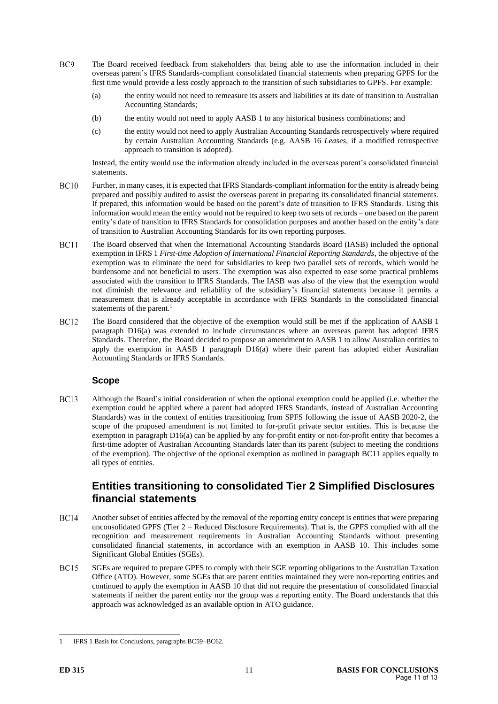- $BC9$ The Board received feedback from stakeholders that being able to use the information included in their overseas parent's IFRS Standards-compliant consolidated financial statements when preparing GPFS for the first time would provide a less costly approach to the transition of such subsidiaries to GPFS. For example:
	- (a) the entity would not need to remeasure its assets and liabilities at its date of transition to Australian Accounting Standards;
	- (b) the entity would not need to apply AASB 1 to any historical business combinations; and
	- (c) the entity would not need to apply Australian Accounting Standards retrospectively where required by certain Australian Accounting Standards (e.g. AASB 16 *Leases*, if a modified retrospective approach to transition is adopted).

Instead, the entity would use the information already included in the overseas parent's consolidated financial statements.

- **BC10** Further, in many cases, it is expected that IFRS Standards-compliant information for the entity is already being prepared and possibly audited to assist the overseas parent in preparing its consolidated financial statements. If prepared, this information would be based on the parent's date of transition to IFRS Standards. Using this information would mean the entity would not be required to keep two sets of records – one based on the parent entity's date of transition to IFRS Standards for consolidation purposes and another based on the entity's date of transition to Australian Accounting Standards for its own reporting purposes.
- <span id="page-10-0"></span>**BC11** The Board observed that when the International Accounting Standards Board (IASB) included the optional exemption in IFRS 1 *First-time Adoption of International Financial Reporting Standards*, the objective of the exemption was to eliminate the need for subsidiaries to keep two parallel sets of records, which would be burdensome and not beneficial to users. The exemption was also expected to ease some practical problems associated with the transition to IFRS Standards. The IASB was also of the view that the exemption would not diminish the relevance and reliability of the subsidiary's financial statements because it permits a measurement that is already acceptable in accordance with IFRS Standards in the consolidated financial statements of the parent.<sup>1</sup>
- **BC12** The Board considered that the objective of the exemption would still be met if the application of AASB 1 paragraph D16(a) was extended to include circumstances where an overseas parent has adopted IFRS Standards. Therefore, the Board decided to propose an amendment to AASB 1 to allow Australian entities to apply the exemption in AASB 1 paragraph D16(a) where their parent has adopted either Australian Accounting Standards or IFRS Standards.

#### **Scope**

 $BC13$ Although the Board's initial consideration of when the optional exemption could be applied (i.e. whether the exemption could be applied where a parent had adopted IFRS Standards, instead of Australian Accounting Standards) was in the context of entities transitioning from SPFS following the issue of AASB 2020-2, the scope of the proposed amendment is not limited to for-profit private sector entities. This is because the exemption in paragraph D16(a) can be applied by any for-profit entity or not-for-profit entity that becomes a first-time adopter of Australian Accounting Standards later than its parent (subject to meeting the conditions of the exemption). The objective of the optional exemption as outlined in paragrap[h BC11](#page-10-0) applies equally to all types of entities.

#### **Entities transitioning to consolidated Tier 2 Simplified Disclosures financial statements**

- **BC14** Another subset of entities affected by the removal of the reporting entity concept is entities that were preparing unconsolidated GPFS (Tier 2 – Reduced Disclosure Requirements). That is, the GPFS complied with all the recognition and measurement requirements in Australian Accounting Standards without presenting consolidated financial statements, in accordance with an exemption in AASB 10. This includes some Significant Global Entities (SGEs).
- <span id="page-10-1"></span>**BC15** SGEs are required to prepare GPFS to comply with their SGE reporting obligations to the Australian Taxation Office (ATO). However, some SGEs that are parent entities maintained they were non-reporting entities and continued to apply the exemption in AASB 10 that did not require the presentation of consolidated financial statements if neither the parent entity nor the group was a reporting entity. The Board understands that this approach was acknowledged as an available option in ATO guidance.

<sup>1</sup> IFRS 1 Basis for Conclusions, paragraphs BC59–BC62.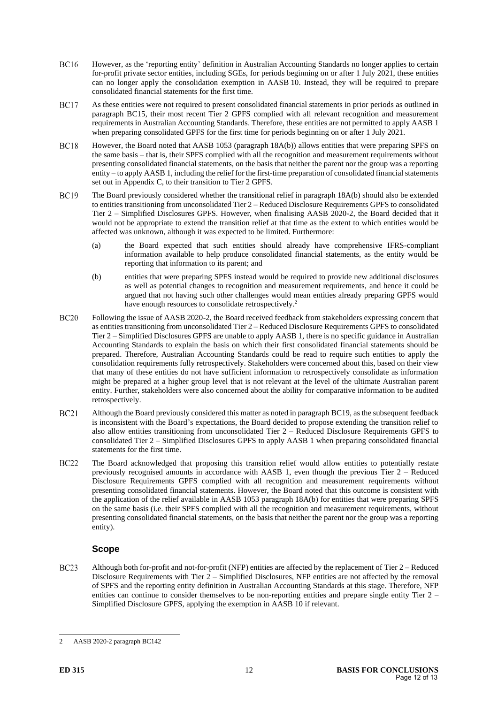- **BC16** However, as the 'reporting entity' definition in Australian Accounting Standards no longer applies to certain for-profit private sector entities, including SGEs, for periods beginning on or after 1 July 2021, these entities can no longer apply the consolidation exemption in AASB 10. Instead, they will be required to prepare consolidated financial statements for the first time.
- **BC17** As these entities were not required to present consolidated financial statements in prior periods as outlined in paragraph [BC15,](#page-10-1) their most recent Tier 2 GPFS complied with all relevant recognition and measurement requirements in Australian Accounting Standards. Therefore, these entities are not permitted to apply AASB 1 when preparing consolidated GPFS for the first time for periods beginning on or after 1 July 2021.
- **BC18** However, the Board noted that AASB 1053 (paragraph 18A(b)) allows entities that were preparing SPFS on the same basis – that is, their SPFS complied with all the recognition and measurement requirements without presenting consolidated financial statements, on the basis that neither the parent nor the group was a reporting entity – to apply AASB 1, including the relief for the first-time preparation of consolidated financial statements set out in Appendix C, to their transition to Tier 2 GPFS.
- <span id="page-11-0"></span>**BC19** The Board previously considered whether the transitional relief in paragraph 18A(b) should also be extended to entities transitioning from unconsolidated Tier 2 – Reduced Disclosure Requirements GPFS to consolidated Tier 2 – Simplified Disclosures GPFS. However, when finalising AASB 2020-2, the Board decided that it would not be appropriate to extend the transition relief at that time as the extent to which entities would be affected was unknown, although it was expected to be limited. Furthermore:
	- (a) the Board expected that such entities should already have comprehensive IFRS-compliant information available to help produce consolidated financial statements, as the entity would be reporting that information to its parent; and
	- (b) entities that were preparing SPFS instead would be required to provide new additional disclosures as well as potential changes to recognition and measurement requirements, and hence it could be argued that not having such other challenges would mean entities already preparing GPFS would have enough resources to consolidate retrospectively.<sup>2</sup>
- **BC20** Following the issue of AASB 2020-2, the Board received feedback from stakeholders expressing concern that as entities transitioning from unconsolidated Tier 2 – Reduced Disclosure Requirements GPFS to consolidated Tier 2 – Simplified Disclosures GPFS are unable to apply AASB 1, there is no specific guidance in Australian Accounting Standards to explain the basis on which their first consolidated financial statements should be prepared. Therefore, Australian Accounting Standards could be read to require such entities to apply the consolidation requirements fully retrospectively. Stakeholders were concerned about this, based on their view that many of these entities do not have sufficient information to retrospectively consolidate as information might be prepared at a higher group level that is not relevant at the level of the ultimate Australian parent entity. Further, stakeholders were also concerned about the ability for comparative information to be audited retrospectively.
- $BC21$ Although the Board previously considered this matter as noted in paragrap[h BC19,](#page-11-0) as the subsequent feedback is inconsistent with the Board's expectations, the Board decided to propose extending the transition relief to also allow entities transitioning from unconsolidated Tier 2 – Reduced Disclosure Requirements GPFS to consolidated Tier 2 – Simplified Disclosures GPFS to apply AASB 1 when preparing consolidated financial statements for the first time.
- **BC22** The Board acknowledged that proposing this transition relief would allow entities to potentially restate previously recognised amounts in accordance with AASB 1, even though the previous Tier 2 – Reduced Disclosure Requirements GPFS complied with all recognition and measurement requirements without presenting consolidated financial statements. However, the Board noted that this outcome is consistent with the application of the relief available in AASB 1053 paragraph 18A(b) for entities that were preparing SPFS on the same basis (i.e. their SPFS complied with all the recognition and measurement requirements, without presenting consolidated financial statements, on the basis that neither the parent nor the group was a reporting entity).

#### **Scope**

 $BC23$ Although both for-profit and not-for-profit (NFP) entities are affected by the replacement of Tier 2 – Reduced Disclosure Requirements with Tier  $2 -$  Simplified Disclosures, NFP entities are not affected by the removal of SPFS and the reporting entity definition in Australian Accounting Standards at this stage. Therefore, NFP entities can continue to consider themselves to be non-reporting entities and prepare single entity Tier 2 – Simplified Disclosure GPFS, applying the exemption in AASB 10 if relevant.

<sup>2</sup> AASB 2020-2 paragraph BC142